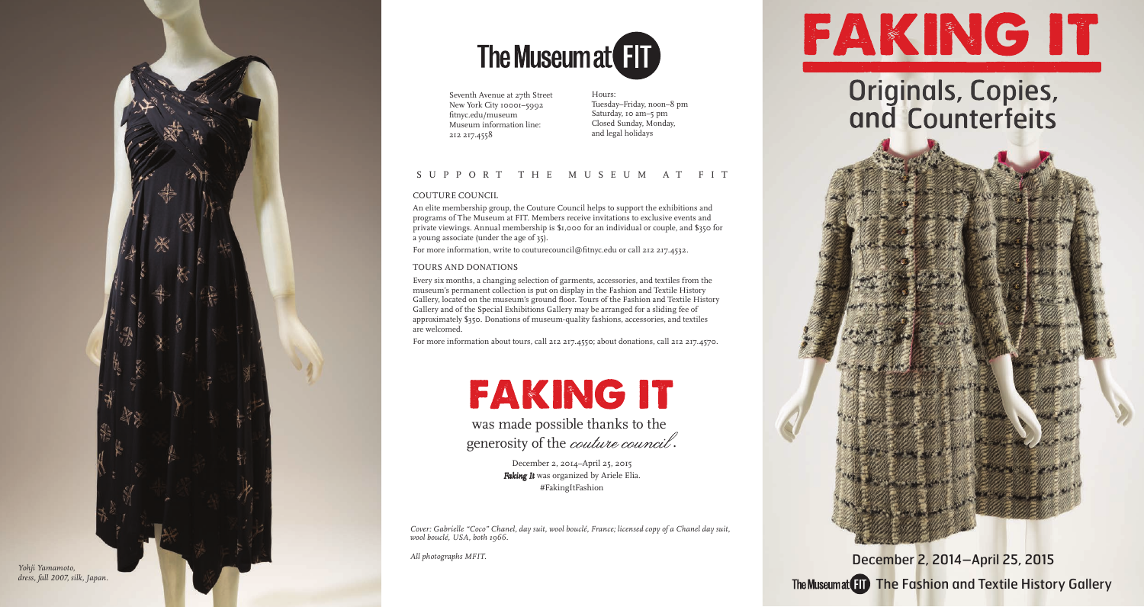Seventh Avenue at 27th Street New York City 10001–5992 fitnyc.edu/museum Museum information line: 212 217.4558

*Cover: Gabrielle "Coco" Chanel, day suit, wool bouclé, France; licensed copy of a Chanel day suit, wool bouclé, USA, both 1966.*

*All photographs MFIT.*



# **Originals, Copies,<br>and Counterfeits**

### SUPPORT THE MUSEUM AT FIT

#### COUTURE COUNCIL

An elite membership group, the Couture Council helps to support the exhibitions and programs of The Museum at FIT. Members receive invitations to exclusive events and private viewings. Annual membership is \$1,000 for an individual or couple, and \$350 for a young associate (under the age of 35).

For more information, write to couturecouncil@fitnyc.edu or call 212 217.4532.

The Museumat FIT The Fashion and Textile History Gallery December 2, 2014–April 25, 2015

was made possible thanks to the generosity of the *couture council*.

#### TOURS AND DONATIONS

Every six months, a changing selection of garments, accessories, and textiles from the museum's permanent collection is put on display in the Fashion and Textile History Gallery, located on the museum's ground floor. Tours of the Fashion and Textile History Gallery and of the Special Exhibitions Gallery may be arranged for a sliding fee of approximately \$350. Donations of museum-quality fashions, accessories, and textiles are welcomed.

For more information about tours, call 212 217.4550; about donations, call 212 217.4570.

## FAKING IT

Hours: Tuesday–Friday, noon–8 pm Saturday, 10 am–5 pm Closed Sunday, Monday, and legal holidays





December 2, 2014–April 25, 2015 *Faking It* was organized by Ariele Elia. #FakingItFashion